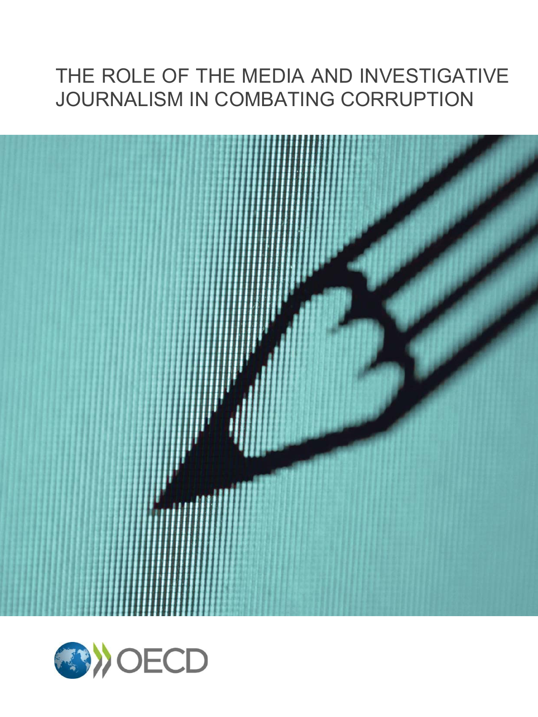# THE ROLE OF THE MEDIA AND INVESTIGATIVE JOURNALISM IN COMBATING CORRUPTION



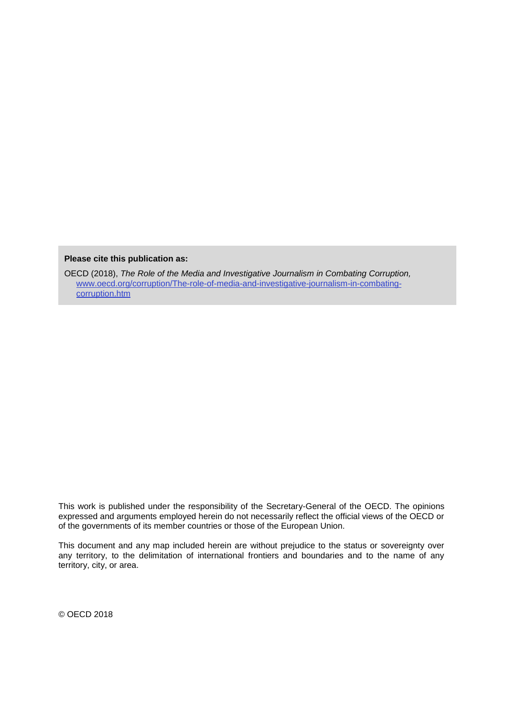**Please cite this publication as:**

OECD (2018), *The Role of the Media and Investigative Journalism in Combating Corruption,*  [www.oecd.org/corruption/The-role-of-media-and-investigative-journalism-in-combating](http://www.oecd.org/corruption/The-role-of-media-and-investigative-journalism-in-combating-corruption.htm)[corruption.htm](http://www.oecd.org/corruption/The-role-of-media-and-investigative-journalism-in-combating-corruption.htm)

This work is published under the responsibility of the Secretary-General of the OECD. The opinions expressed and arguments employed herein do not necessarily reflect the official views of the OECD or of the governments of its member countries or those of the European Union.

This document and any map included herein are without prejudice to the status or sovereignty over any territory, to the delimitation of international frontiers and boundaries and to the name of any territory, city, or area.

© OECD 2018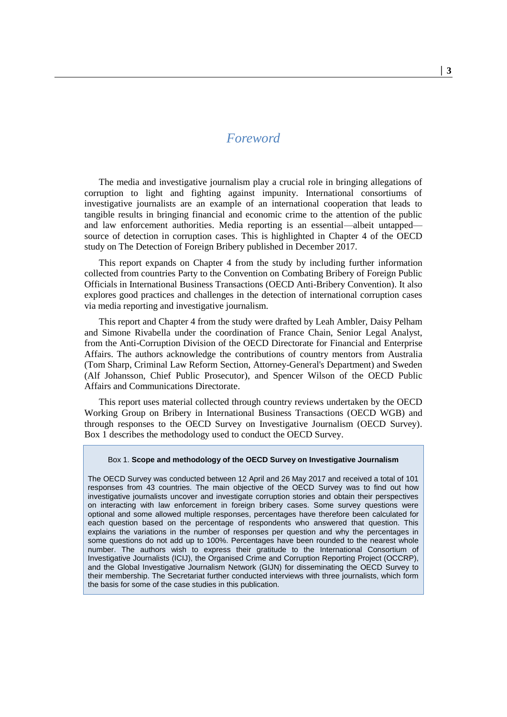# *Foreword*

The media and investigative journalism play a crucial role in bringing allegations of corruption to light and fighting against impunity. International consortiums of investigative journalists are an example of an international cooperation that leads to tangible results in bringing financial and economic crime to the attention of the public and law enforcement authorities. Media reporting is an essential—albeit untapped source of detection in corruption cases. This is highlighted in Chapter 4 of the OECD study on The Detection of Foreign Bribery published in December 2017.

This report expands on Chapter 4 from the study by including further information collected from countries Party to the Convention on Combating Bribery of Foreign Public Officials in International Business Transactions (OECD Anti-Bribery Convention). It also explores good practices and challenges in the detection of international corruption cases via media reporting and investigative journalism.

This report and Chapter 4 from the study were drafted by Leah Ambler, Daisy Pelham and Simone Rivabella under the coordination of France Chain, Senior Legal Analyst, from the Anti-Corruption Division of the OECD Directorate for Financial and Enterprise Affairs. The authors acknowledge the contributions of country mentors from Australia (Tom Sharp, Criminal Law Reform Section, Attorney-General's Department) and Sweden (Alf Johansson, Chief Public Prosecutor), and Spencer Wilson of the OECD Public Affairs and Communications Directorate.

This report uses material collected through country reviews undertaken by the OECD Working Group on Bribery in International Business Transactions (OECD WGB) and through responses to the OECD Survey on Investigative Journalism (OECD Survey). Box 1 describes the methodology used to conduct the OECD Survey.

#### Box 1. **Scope and methodology of the OECD Survey on Investigative Journalism**

The OECD Survey was conducted between 12 April and 26 May 2017 and received a total of 101 responses from 43 countries. The main objective of the OECD Survey was to find out how investigative journalists uncover and investigate corruption stories and obtain their perspectives on interacting with law enforcement in foreign bribery cases. Some survey questions were optional and some allowed multiple responses, percentages have therefore been calculated for each question based on the percentage of respondents who answered that question. This explains the variations in the number of responses per question and why the percentages in some questions do not add up to 100%. Percentages have been rounded to the nearest whole number. The authors wish to express their gratitude to the International Consortium of Investigative Journalists (ICIJ), the Organised Crime and Corruption Reporting Project (OCCRP), and the Global Investigative Journalism Network (GIJN) for disseminating the OECD Survey to their membership. The Secretariat further conducted interviews with three journalists, which form the basis for some of the case studies in this publication.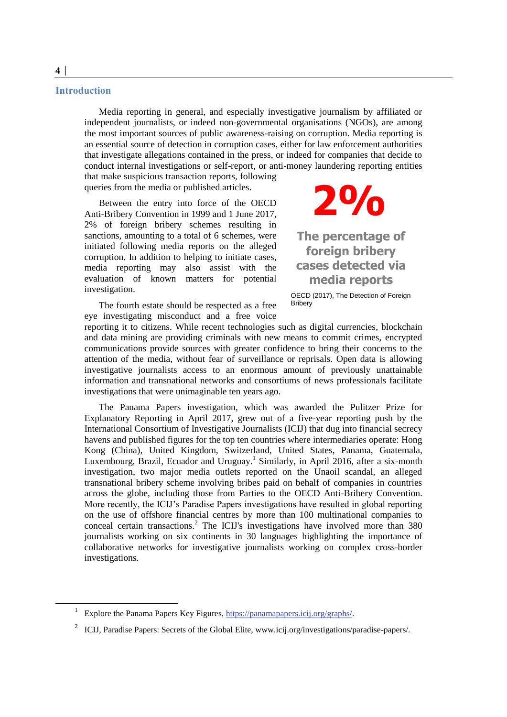#### **Introduction**

Media reporting in general, and especially investigative journalism by affiliated or independent journalists, or indeed non-governmental organisations (NGOs), are among the most important sources of public awareness-raising on corruption. Media reporting is an essential source of detection in corruption cases, either for law enforcement authorities that investigate allegations contained in the press, or indeed for companies that decide to conduct internal investigations or self-report, or anti-money laundering reporting entities that make suspicious transaction reports, following

queries from the media or published articles.

Between the entry into force of the OECD Anti-Bribery Convention in 1999 and 1 June 2017, 2% of foreign bribery schemes resulting in sanctions, amounting to a total of 6 schemes, were initiated following media reports on the alleged corruption. In addition to helping to initiate cases, media reporting may also assist with the evaluation of known matters for potential investigation.

The fourth estate should be respected as a free eye investigating misconduct and a free voice



**The percentage of foreign bribery cases detected via media reports**

OECD (2017), The Detection of Foreign Bribery

reporting it to citizens. While recent technologies such as digital currencies, blockchain and data mining are providing criminals with new means to commit crimes, encrypted communications provide sources with greater confidence to bring their concerns to the attention of the media, without fear of surveillance or reprisals. Open data is allowing investigative journalists access to an enormous amount of previously unattainable information and transnational networks and consortiums of news professionals facilitate investigations that were unimaginable ten years ago.

The Panama Papers investigation, which was awarded the Pulitzer Prize for Explanatory Reporting in April 2017, grew out of a five-year reporting push by the International Consortium of Investigative Journalists (ICIJ) that dug into financial secrecy havens and published figures for the top ten countries where intermediaries operate: Hong Kong (China), United Kingdom, Switzerland, United States, Panama, Guatemala, Luxembourg, Brazil, Ecuador and Uruguay.<sup>1</sup> Similarly, in April 2016, after a six-month investigation, two major media outlets reported on the Unaoil scandal, an alleged transnational bribery scheme involving bribes paid on behalf of companies in countries across the globe, including those from Parties to the OECD Anti-Bribery Convention. More recently, the ICIJ's Paradise Papers investigations have resulted in global reporting on the use of offshore financial centres by more than 100 multinational companies to conceal certain transactions.<sup>2</sup> The ICIJ's investigations have involved more than 380 journalists working on six continents in 30 languages highlighting the importance of collaborative networks for investigative journalists working on complex cross-border investigations.

<sup>1</sup> Explore the Panama Papers Key Figures, [https://panamapapers.icij.org/graphs/.](https://panamapapers.icij.org/graphs/)

<sup>&</sup>lt;sup>2</sup> ICIJ, Paradise Papers: Secrets of the Global Elite, www.icij.org/investigations/paradise-papers/.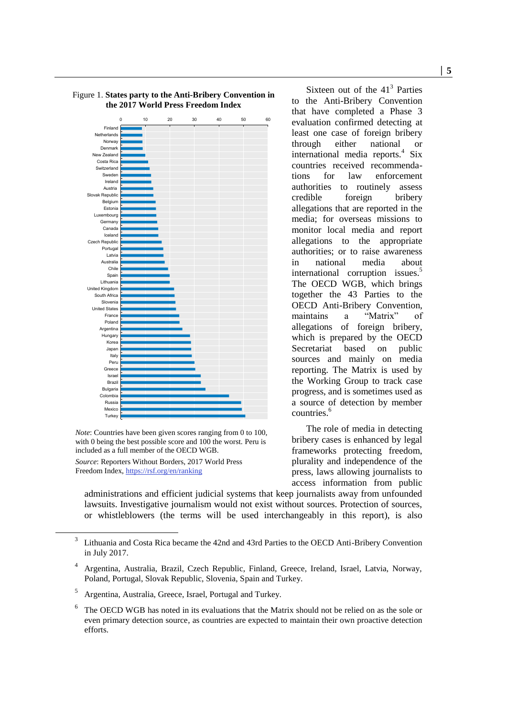

*Note*: Countries have been given scores ranging from 0 to 100, with 0 being the best possible score and 100 the worst. Peru is included as a full member of the OECD WGB.

*Source*: Reporters Without Borders, 2017 World Press Freedom Index,<https://rsf.org/en/ranking>

Sixteen out of the  $41<sup>3</sup>$  Parties to the Anti-Bribery Convention that have completed a Phase 3 evaluation confirmed detecting at least one case of foreign bribery through either national or international media reports.<sup>4</sup> Six countries received recommendations for law enforcement authorities to routinely assess credible foreign bribery allegations that are reported in the media; for overseas missions to monitor local media and report allegations to the appropriate authorities; or to raise awareness in national media about international corruption issues.<sup>5</sup> The OECD WGB, which brings together the 43 Parties to the OECD Anti-Bribery Convention, maintains a "Matrix" of allegations of foreign bribery, which is prepared by the OECD Secretariat based on public sources and mainly on media reporting. The Matrix is used by the Working Group to track case progress, and is sometimes used as a source of detection by member countries.<sup>6</sup>

The role of media in detecting bribery cases is enhanced by legal frameworks protecting freedom, plurality and independence of the press, laws allowing journalists to access information from public

administrations and efficient judicial systems that keep journalists away from unfounded lawsuits. Investigative journalism would not exist without sources. Protection of sources, or whistleblowers (the terms will be used interchangeably in this report), is also

Figure 1. **States party to the Anti-Bribery Convention in the 2017 World Press Freedom Index**

<sup>3</sup> Lithuania and Costa Rica became the 42nd and 43rd Parties to the OECD Anti-Bribery Convention in July 2017.

<sup>4</sup> Argentina, Australia, Brazil, Czech Republic, Finland, Greece, Ireland, Israel, Latvia, Norway, Poland, Portugal, Slovak Republic, Slovenia, Spain and Turkey.

<sup>5</sup> Argentina, Australia, Greece, Israel, Portugal and Turkey.

<sup>6</sup> The OECD WGB has noted in its evaluations that the Matrix should not be relied on as the sole or even primary detection source, as countries are expected to maintain their own proactive detection efforts.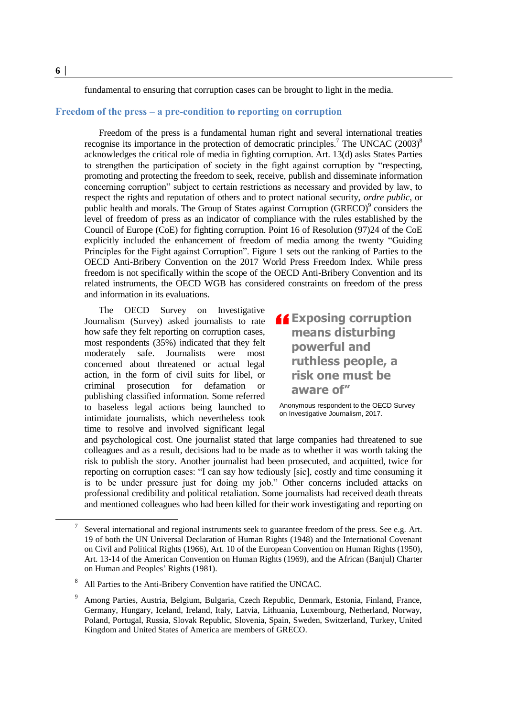fundamental to ensuring that corruption cases can be brought to light in the media.

# **Freedom of the press – a pre-condition to reporting on corruption**

Freedom of the press is a fundamental human right and several international treaties recognise its importance in the protection of democratic principles.<sup>7</sup> The UNCAC  $(2003)^8$ acknowledges the critical role of media in fighting corruption. Art. 13(d) asks States Parties to strengthen the participation of society in the fight against corruption by "respecting, promoting and protecting the freedom to seek, receive, publish and disseminate information concerning corruption" subject to certain restrictions as necessary and provided by law, to respect the rights and reputation of others and to protect national security, *ordre public*, or public health and morals. The Group of States against Corruption (GRECO)<sup>9</sup> considers the level of freedom of press as an indicator of compliance with the rules established by the Council of Europe (CoE) for fighting corruption. Point 16 of Resolution (97)24 of the CoE explicitly included the enhancement of freedom of media among the twenty "Guiding Principles for the Fight against Corruption". Figure 1 sets out the ranking of Parties to the OECD Anti-Bribery Convention on the 2017 World Press Freedom Index. While press freedom is not specifically within the scope of the OECD Anti-Bribery Convention and its related instruments, the OECD WGB has considered constraints on freedom of the press and information in its evaluations.

The OECD Survey on Investigative Journalism (Survey) asked journalists to rate how safe they felt reporting on corruption cases, most respondents (35%) indicated that they felt moderately safe. Journalists were most concerned about threatened or actual legal action, in the form of civil suits for libel, or criminal prosecution for defamation or publishing classified information. Some referred to baseless legal actions being launched to intimidate journalists, which nevertheless took time to resolve and involved significant legal

**Exposing corruption<br>
means disturbing<br>
powerful and means disturbing powerful and ruthless people, a risk one must be aware of"**

Anonymous respondent to the OECD Survey on Investigative Journalism, 2017.

and psychological cost. One journalist stated that large companies had threatened to sue colleagues and as a result, decisions had to be made as to whether it was worth taking the risk to publish the story. Another journalist had been prosecuted, and acquitted, twice for reporting on corruption cases: "I can say how tediously [sic], costly and time consuming it is to be under pressure just for doing my job." Other concerns included attacks on professional credibility and political retaliation. Some journalists had received death threats and mentioned colleagues who had been killed for their work investigating and reporting on

 $\overline{a}$ 

<sup>7</sup> Several international and regional instruments seek to guarantee freedom of the press. See e.g. Art. 19 of both the UN Universal Declaration of Human Rights (1948) and the International Covenant on Civil and Political Rights (1966), Art. 10 of the European Convention on Human Rights (1950), Art. 13-14 of the American Convention on Human Rights (1969), and the African (Banjul) Charter on Human and Peoples' Rights (1981).

<sup>8</sup> All Parties to the Anti-Bribery Convention have ratified the UNCAC.

Among Parties, Austria, Belgium, Bulgaria, Czech Republic, Denmark, Estonia, Finland, France, Germany, Hungary, Iceland, Ireland, Italy, Latvia, Lithuania, Luxembourg, Netherland, Norway, Poland, Portugal, Russia, Slovak Republic, Slovenia, Spain, Sweden, Switzerland, Turkey, United Kingdom and United States of America are members of GRECO.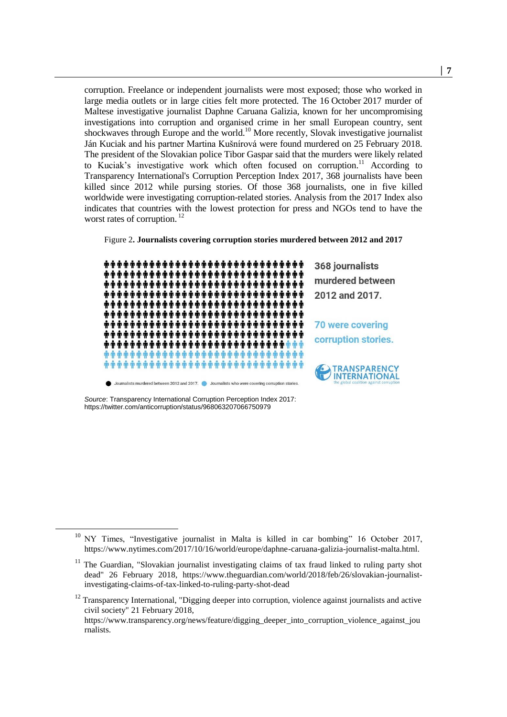corruption. Freelance or independent journalists were most exposed; those who worked in large media outlets or in large cities felt more protected. The 16 October 2017 murder of Maltese investigative journalist Daphne Caruana Galizia, known for her uncompromising investigations into corruption and organised crime in her small European country, sent shockwaves through Europe and the world.<sup>10</sup> More recently, Slovak investigative journalist Ján Kuciak and his partner Martina Kušnírová were found murdered on 25 February 2018. The president of the Slovakian police Tibor Gaspar said that the murders were likely related to Kuciak's investigative work which often focused on corruption.<sup>11</sup> According to Transparency International's Corruption Perception Index 2017, 368 journalists have been killed since 2012 while pursing stories. Of those 368 journalists, one in five killed worldwide were investigating corruption-related stories. Analysis from the 2017 Index also indicates that countries with the lowest protection for press and NGOs tend to have the worst rates of corruption.<sup>12</sup>





*Source*: Transparency International Corruption Perception Index 2017: https://twitter.com/anticorruption/status/968063207066750979

 $\overline{a}$ 

rnalists.

 $10$  NY Times, "Investigative journalist in Malta is killed in car bombing" 16 October 2017, https://www.nytimes.com/2017/10/16/world/europe/daphne-caruana-galizia-journalist-malta.html.

<sup>&</sup>lt;sup>11</sup> The Guardian, "Slovakian journalist investigating claims of tax fraud linked to ruling party shot dead" 26 February 2018, https://www.theguardian.com/world/2018/feb/26/slovakian-journalistinvestigating-claims-of-tax-linked-to-ruling-party-shot-dead

<sup>&</sup>lt;sup>12</sup> Transparency International, "Digging deeper into corruption, violence against journalists and active civil society" 21 February 2018, https://www.transparency.org/news/feature/digging\_deeper\_into\_corruption\_violence\_against\_jou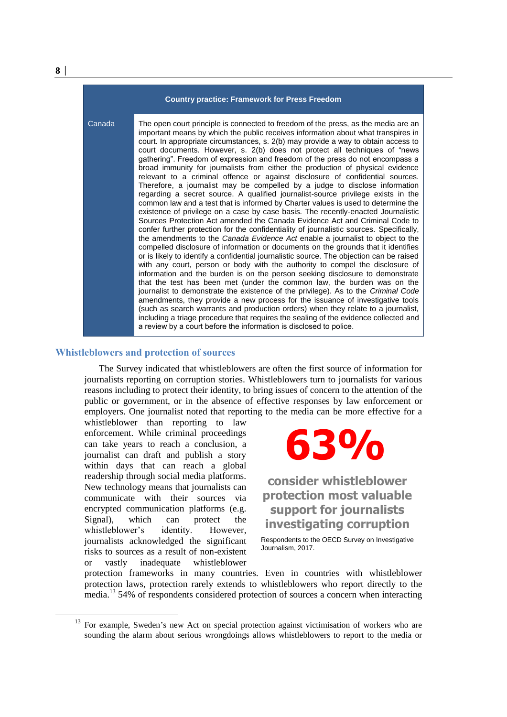| <b>Country practice: Framework for Press Freedom</b> |                                                                                                                                                                                                                                                                                                                                                                                                                                                                                                                                                                                                                                                                                                                                                                                                                                                                                                                                                                                                                                                                                                                                                                                                                                                                                                                                                                                                                                                                                                                                                                                                                                                                                                                                                                                                                                                                                                                                                                                                                                                                     |
|------------------------------------------------------|---------------------------------------------------------------------------------------------------------------------------------------------------------------------------------------------------------------------------------------------------------------------------------------------------------------------------------------------------------------------------------------------------------------------------------------------------------------------------------------------------------------------------------------------------------------------------------------------------------------------------------------------------------------------------------------------------------------------------------------------------------------------------------------------------------------------------------------------------------------------------------------------------------------------------------------------------------------------------------------------------------------------------------------------------------------------------------------------------------------------------------------------------------------------------------------------------------------------------------------------------------------------------------------------------------------------------------------------------------------------------------------------------------------------------------------------------------------------------------------------------------------------------------------------------------------------------------------------------------------------------------------------------------------------------------------------------------------------------------------------------------------------------------------------------------------------------------------------------------------------------------------------------------------------------------------------------------------------------------------------------------------------------------------------------------------------|
| Canada                                               | The open court principle is connected to freedom of the press, as the media are an<br>important means by which the public receives information about what transpires in<br>court. In appropriate circumstances, s. 2(b) may provide a way to obtain access to<br>court documents. However, s. 2(b) does not protect all techniques of "news<br>gathering". Freedom of expression and freedom of the press do not encompass a<br>broad immunity for journalists from either the production of physical evidence<br>relevant to a criminal offence or against disclosure of confidential sources.<br>Therefore, a journalist may be compelled by a judge to disclose information<br>regarding a secret source. A qualified journalist-source privilege exists in the<br>common law and a test that is informed by Charter values is used to determine the<br>existence of privilege on a case by case basis. The recently-enacted Journalistic<br>Sources Protection Act amended the Canada Evidence Act and Criminal Code to<br>confer further protection for the confidentiality of journalistic sources. Specifically,<br>the amendments to the Canada Evidence Act enable a journalist to object to the<br>compelled disclosure of information or documents on the grounds that it identifies<br>or is likely to identify a confidential journalistic source. The objection can be raised<br>with any court, person or body with the authority to compel the disclosure of<br>information and the burden is on the person seeking disclosure to demonstrate<br>that the test has been met (under the common law, the burden was on the<br>journalist to demonstrate the existence of the privilege). As to the Criminal Code<br>amendments, they provide a new process for the issuance of investigative tools<br>(such as search warrants and production orders) when they relate to a journalist,<br>including a triage procedure that requires the sealing of the evidence collected and<br>a review by a court before the information is disclosed to police. |

### **Whistleblowers and protection of sources**

The Survey indicated that whistleblowers are often the first source of information for journalists reporting on corruption stories. Whistleblowers turn to journalists for various reasons including to protect their identity, to bring issues of concern to the attention of the public or government, or in the absence of effective responses by law enforcement or employers. One journalist noted that reporting to the media can be more effective for a

whistleblower than reporting to law enforcement. While criminal proceedings can take years to reach a conclusion, a journalist can draft and publish a story within days that can reach a global readership through social media platforms. New technology means that journalists can communicate with their sources via encrypted communication platforms (e.g. Signal), which can protect the whistleblower's identity. However, journalists acknowledged the significant risks to sources as a result of non-existent or vastly inadequate whistleblower

# **63%**

**consider whistleblower protection most valuable support for journalists investigating corruption**

Respondents to the OECD Survey on Investigative Journalism, 2017.

protection frameworks in many countries. Even in countries with whistleblower protection laws, protection rarely extends to whistleblowers who report directly to the media.<sup>13</sup> 54% of respondents considered protection of sources a concern when interacting

 $\overline{a}$ 

 $13$  For example, Sweden's new Act on special protection against victimisation of workers who are sounding the alarm about serious wrongdoings allows whistleblowers to report to the media or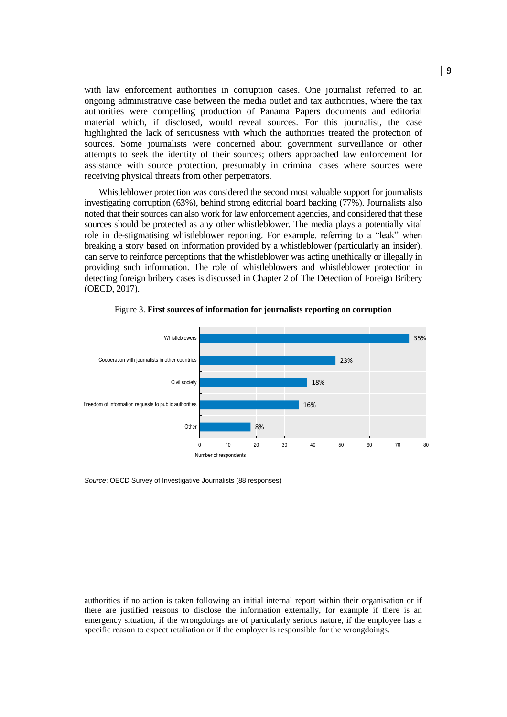with law enforcement authorities in corruption cases. One journalist referred to an ongoing administrative case between the media outlet and tax authorities, where the tax authorities were compelling production of Panama Papers documents and editorial material which, if disclosed, would reveal sources. For this journalist, the case highlighted the lack of seriousness with which the authorities treated the protection of sources. Some journalists were concerned about government surveillance or other attempts to seek the identity of their sources; others approached law enforcement for assistance with source protection, presumably in criminal cases where sources were receiving physical threats from other perpetrators.

Whistleblower protection was considered the second most valuable support for journalists investigating corruption (63%), behind strong editorial board backing (77%). Journalists also noted that their sources can also work for law enforcement agencies, and considered that these sources should be protected as any other whistleblower. The media plays a potentially vital role in de-stigmatising whistleblower reporting. For example, referring to a "leak" when breaking a story based on information provided by a whistleblower (particularly an insider), can serve to reinforce perceptions that the whistleblower was acting unethically or illegally in providing such information. The role of whistleblowers and whistleblower protection in detecting foreign bribery cases is discussed in Chapter 2 of The Detection of Foreign Bribery (OECD, 2017).



Figure 3. **First sources of information for journalists reporting on corruption**

*Source*: OECD Survey of Investigative Journalists (88 responses)

1

authorities if no action is taken following an initial internal report within their organisation or if there are justified reasons to disclose the information externally, for example if there is an emergency situation, if the wrongdoings are of particularly serious nature, if the employee has a specific reason to expect retaliation or if the employer is responsible for the wrongdoings.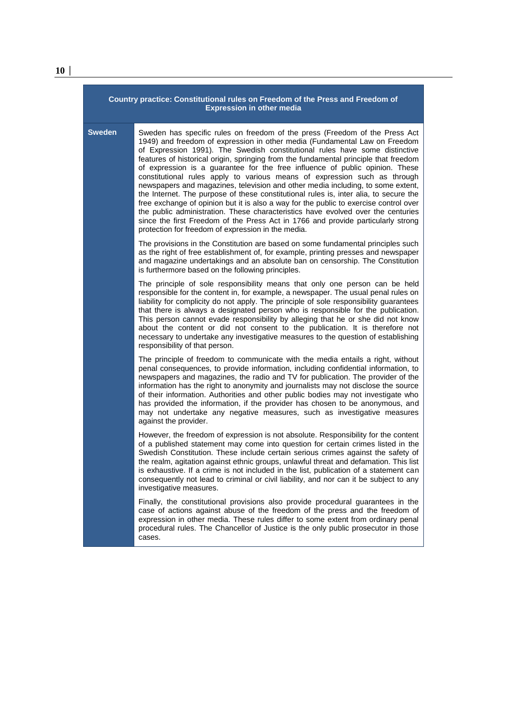| Country practice: Constitutional rules on Freedom of the Press and Freedom of<br><b>Expression in other media</b> |                                                                                                                                                                                                                                                                                                                                                                                                                                                                                                                                                                                                                                                                                                                                                                                                                                                                                                                                                                                                  |  |
|-------------------------------------------------------------------------------------------------------------------|--------------------------------------------------------------------------------------------------------------------------------------------------------------------------------------------------------------------------------------------------------------------------------------------------------------------------------------------------------------------------------------------------------------------------------------------------------------------------------------------------------------------------------------------------------------------------------------------------------------------------------------------------------------------------------------------------------------------------------------------------------------------------------------------------------------------------------------------------------------------------------------------------------------------------------------------------------------------------------------------------|--|
| <b>Sweden</b>                                                                                                     | Sweden has specific rules on freedom of the press (Freedom of the Press Act<br>1949) and freedom of expression in other media (Fundamental Law on Freedom<br>of Expression 1991). The Swedish constitutional rules have some distinctive<br>features of historical origin, springing from the fundamental principle that freedom<br>of expression is a guarantee for the free influence of public opinion. These<br>constitutional rules apply to various means of expression such as through<br>newspapers and magazines, television and other media including, to some extent,<br>the Internet. The purpose of these constitutional rules is, inter alia, to secure the<br>free exchange of opinion but it is also a way for the public to exercise control over<br>the public administration. These characteristics have evolved over the centuries<br>since the first Freedom of the Press Act in 1766 and provide particularly strong<br>protection for freedom of expression in the media. |  |
|                                                                                                                   | The provisions in the Constitution are based on some fundamental principles such<br>as the right of free establishment of, for example, printing presses and newspaper<br>and magazine undertakings and an absolute ban on censorship. The Constitution<br>is furthermore based on the following principles.                                                                                                                                                                                                                                                                                                                                                                                                                                                                                                                                                                                                                                                                                     |  |
|                                                                                                                   | The principle of sole responsibility means that only one person can be held<br>responsible for the content in, for example, a newspaper. The usual penal rules on<br>liability for complicity do not apply. The principle of sole responsibility quarantees<br>that there is always a designated person who is responsible for the publication.<br>This person cannot evade responsibility by alleging that he or she did not know<br>about the content or did not consent to the publication. It is therefore not<br>necessary to undertake any investigative measures to the question of establishing<br>responsibility of that person.                                                                                                                                                                                                                                                                                                                                                        |  |
|                                                                                                                   | The principle of freedom to communicate with the media entails a right, without<br>penal consequences, to provide information, including confidential information, to<br>newspapers and magazines, the radio and TV for publication. The provider of the<br>information has the right to anonymity and journalists may not disclose the source<br>of their information. Authorities and other public bodies may not investigate who<br>has provided the information, if the provider has chosen to be anonymous, and<br>may not undertake any negative measures, such as investigative measures<br>against the provider.                                                                                                                                                                                                                                                                                                                                                                         |  |
|                                                                                                                   | However, the freedom of expression is not absolute. Responsibility for the content<br>of a published statement may come into question for certain crimes listed in the<br>Swedish Constitution. These include certain serious crimes against the safety of<br>the realm, agitation against ethnic groups, unlawful threat and defamation. This list<br>is exhaustive. If a crime is not included in the list, publication of a statement can<br>consequently not lead to criminal or civil liability, and nor can it be subject to any<br>investigative measures.                                                                                                                                                                                                                                                                                                                                                                                                                                |  |
|                                                                                                                   | Finally, the constitutional provisions also provide procedural guarantees in the<br>case of actions against abuse of the freedom of the press and the freedom of<br>expression in other media. These rules differ to some extent from ordinary penal<br>procedural rules. The Chancellor of Justice is the only public prosecutor in those<br>cases.                                                                                                                                                                                                                                                                                                                                                                                                                                                                                                                                                                                                                                             |  |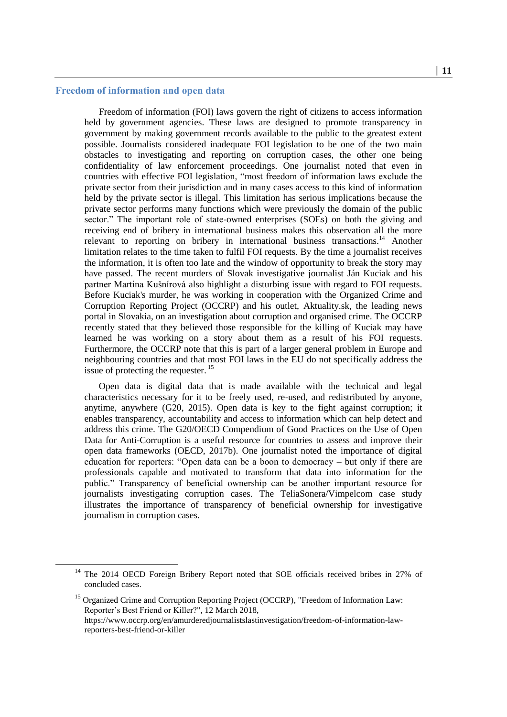# **Freedom of information and open data**

 $\overline{a}$ 

Freedom of information (FOI) laws govern the right of citizens to access information held by government agencies. These laws are designed to promote transparency in government by making government records available to the public to the greatest extent possible. Journalists considered inadequate FOI legislation to be one of the two main obstacles to investigating and reporting on corruption cases, the other one being confidentiality of law enforcement proceedings. One journalist noted that even in countries with effective FOI legislation, "most freedom of information laws exclude the private sector from their jurisdiction and in many cases access to this kind of information held by the private sector is illegal. This limitation has serious implications because the private sector performs many functions which were previously the domain of the public sector." The important role of state-owned enterprises (SOEs) on both the giving and receiving end of bribery in international business makes this observation all the more relevant to reporting on bribery in international business transactions.<sup>14</sup> Another limitation relates to the time taken to fulfil FOI requests. By the time a journalist receives the information, it is often too late and the window of opportunity to break the story may have passed. The recent murders of Slovak investigative journalist Ján Kuciak and his partner Martina Kušnírová also highlight a disturbing issue with regard to FOI requests. Before Kuciak's murder, he was working in cooperation with the Organized Crime and Corruption Reporting Project (OCCRP) and his outlet, Aktuality.sk, the leading news portal in Slovakia, on an investigation about corruption and organised crime. The OCCRP recently stated that they believed those responsible for the killing of Kuciak may have learned he was working on a story about them as a result of his FOI requests. Furthermore, the OCCRP note that this is part of a larger general problem in Europe and neighbouring countries and that most FOI laws in the EU do not specifically address the issue of protecting the requester.<sup>15</sup>

Open data is digital data that is made available with the technical and legal characteristics necessary for it to be freely used, re-used, and redistributed by anyone, anytime, anywhere (G20, 2015). Open data is key to the fight against corruption; it enables transparency, accountability and access to information which can help detect and address this crime. The G20/OECD Compendium of Good Practices on the Use of Open Data for Anti-Corruption is a useful resource for countries to assess and improve their open data frameworks (OECD, 2017b). One journalist noted the importance of digital education for reporters: "Open data can be a boon to democracy – but only if there are professionals capable and motivated to transform that data into information for the public." Transparency of beneficial ownership can be another important resource for journalists investigating corruption cases. The TeliaSonera/Vimpelcom case study illustrates the importance of transparency of beneficial ownership for investigative journalism in corruption cases.

<sup>&</sup>lt;sup>14</sup> The 2014 OECD Foreign Bribery Report noted that SOE officials received bribes in 27% of concluded cases.

<sup>&</sup>lt;sup>15</sup> Organized Crime and Corruption Reporting Project (OCCRP), "Freedom of Information Law: Reporter's Best Friend or Killer?", 12 March 2018, https://www.occrp.org/en/amurderedjournalistslastinvestigation/freedom-of-information-lawreporters-best-friend-or-killer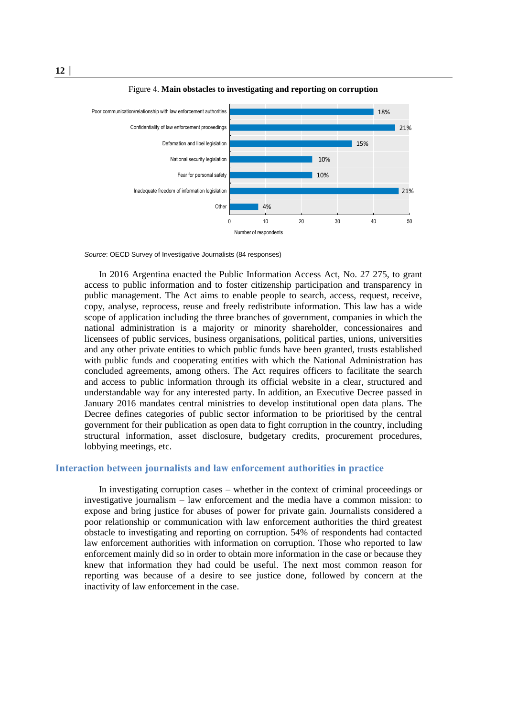

Figure 4. **Main obstacles to investigating and reporting on corruption**

*Source*: OECD Survey of Investigative Journalists (84 responses)

In 2016 Argentina enacted the Public Information Access Act, No. 27 275, to grant access to public information and to foster citizenship participation and transparency in public management. The Act aims to enable people to search, access, request, receive, copy, analyse, reprocess, reuse and freely redistribute information. This law has a wide scope of application including the three branches of government, companies in which the national administration is a majority or minority shareholder, concessionaires and licensees of public services, business organisations, political parties, unions, universities and any other private entities to which public funds have been granted, trusts established with public funds and cooperating entities with which the National Administration has concluded agreements, among others. The Act requires officers to facilitate the search and access to public information through its official website in a clear, structured and understandable way for any interested party. In addition, an Executive Decree passed in January 2016 mandates central ministries to develop institutional open data plans. The Decree defines categories of public sector information to be prioritised by the central government for their publication as open data to fight corruption in the country, including structural information, asset disclosure, budgetary credits, procurement procedures, lobbying meetings, etc.

### **Interaction between journalists and law enforcement authorities in practice**

In investigating corruption cases – whether in the context of criminal proceedings or investigative journalism – law enforcement and the media have a common mission: to expose and bring justice for abuses of power for private gain. Journalists considered a poor relationship or communication with law enforcement authorities the third greatest obstacle to investigating and reporting on corruption. 54% of respondents had contacted law enforcement authorities with information on corruption. Those who reported to law enforcement mainly did so in order to obtain more information in the case or because they knew that information they had could be useful. The next most common reason for reporting was because of a desire to see justice done, followed by concern at the inactivity of law enforcement in the case.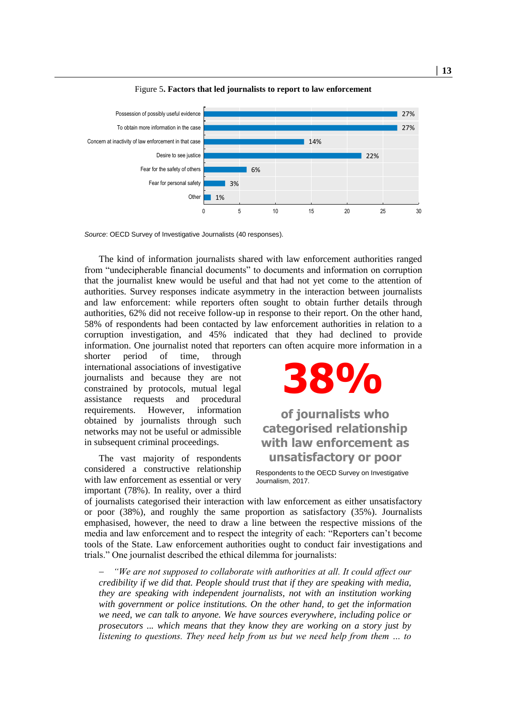

Figure 5**. Factors that led journalists to report to law enforcement**

*Source*: OECD Survey of Investigative Journalists (40 responses).

The kind of information journalists shared with law enforcement authorities ranged from "undecipherable financial documents" to documents and information on corruption that the journalist knew would be useful and that had not yet come to the attention of authorities. Survey responses indicate asymmetry in the interaction between journalists and law enforcement: while reporters often sought to obtain further details through authorities, 62% did not receive follow-up in response to their report. On the other hand, 58% of respondents had been contacted by law enforcement authorities in relation to a corruption investigation, and 45% indicated that they had declined to provide information. One journalist noted that reporters can often acquire more information in a

shorter period of time, through international associations of investigative journalists and because they are not constrained by protocols, mutual legal assistance requests and procedural requirements. However, information obtained by journalists through such networks may not be useful or admissible in subsequent criminal proceedings.

The vast majority of respondents considered a constructive relationship with law enforcement as essential or very important (78%). In reality, over a third



**of journalists who categorised relationship with law enforcement as unsatisfactory or poor**

Respondents to the OECD Survey on Investigative Journalism, 2017.

of journalists categorised their interaction with law enforcement as either unsatisfactory or poor (38%), and roughly the same proportion as satisfactory (35%). Journalists emphasised, however, the need to draw a line between the respective missions of the media and law enforcement and to respect the integrity of each: "Reporters can't become tools of the State. Law enforcement authorities ought to conduct fair investigations and trials." One journalist described the ethical dilemma for journalists:

 *"We are not supposed to collaborate with authorities at all. It could affect our credibility if we did that. People should trust that if they are speaking with media, they are speaking with independent journalists, not with an institution working with government or police institutions. On the other hand, to get the information we need, we can talk to anyone. We have sources everywhere, including police or prosecutors ... which means that they know they are working on a story just by listening to questions. They need help from us but we need help from them … to*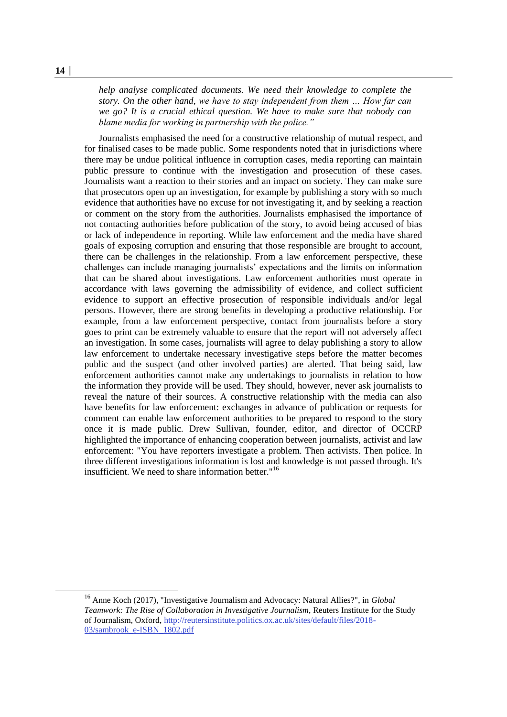*help analyse complicated documents. We need their knowledge to complete the story. On the other hand, we have to stay independent from them … How far can we go? It is a crucial ethical question. We have to make sure that nobody can blame media for working in partnership with the police."* 

Journalists emphasised the need for a constructive relationship of mutual respect, and for finalised cases to be made public. Some respondents noted that in jurisdictions where there may be undue political influence in corruption cases, media reporting can maintain public pressure to continue with the investigation and prosecution of these cases. Journalists want a reaction to their stories and an impact on society. They can make sure that prosecutors open up an investigation, for example by publishing a story with so much evidence that authorities have no excuse for not investigating it, and by seeking a reaction or comment on the story from the authorities. Journalists emphasised the importance of not contacting authorities before publication of the story, to avoid being accused of bias or lack of independence in reporting. While law enforcement and the media have shared goals of exposing corruption and ensuring that those responsible are brought to account, there can be challenges in the relationship. From a law enforcement perspective, these challenges can include managing journalists' expectations and the limits on information that can be shared about investigations. Law enforcement authorities must operate in accordance with laws governing the admissibility of evidence, and collect sufficient evidence to support an effective prosecution of responsible individuals and/or legal persons. However, there are strong benefits in developing a productive relationship. For example, from a law enforcement perspective, contact from journalists before a story goes to print can be extremely valuable to ensure that the report will not adversely affect an investigation. In some cases, journalists will agree to delay publishing a story to allow law enforcement to undertake necessary investigative steps before the matter becomes public and the suspect (and other involved parties) are alerted. That being said, law enforcement authorities cannot make any undertakings to journalists in relation to how the information they provide will be used. They should, however, never ask journalists to reveal the nature of their sources. A constructive relationship with the media can also have benefits for law enforcement: exchanges in advance of publication or requests for comment can enable law enforcement authorities to be prepared to respond to the story once it is made public. Drew Sullivan, founder, editor, and director of OCCRP highlighted the importance of enhancing cooperation between journalists, activist and law enforcement: "You have reporters investigate a problem. Then activists. Then police. In three different investigations information is lost and knowledge is not passed through. It's insufficient. We need to share information better."<sup>16</sup>

<sup>16</sup> Anne Koch (2017), "Investigative Journalism and Advocacy: Natural Allies?", in *Global Teamwork: The Rise of Collaboration in Investigative Journalism*, Reuters Institute for the Study of Journalism, Oxford, [http://reutersinstitute.politics.ox.ac.uk/sites/default/files/2018-](http://reutersinstitute.politics.ox.ac.uk/sites/default/files/2018-03/sambrook_e-ISBN_1802.pdf) [03/sambrook\\_e-ISBN\\_1802.pdf](http://reutersinstitute.politics.ox.ac.uk/sites/default/files/2018-03/sambrook_e-ISBN_1802.pdf)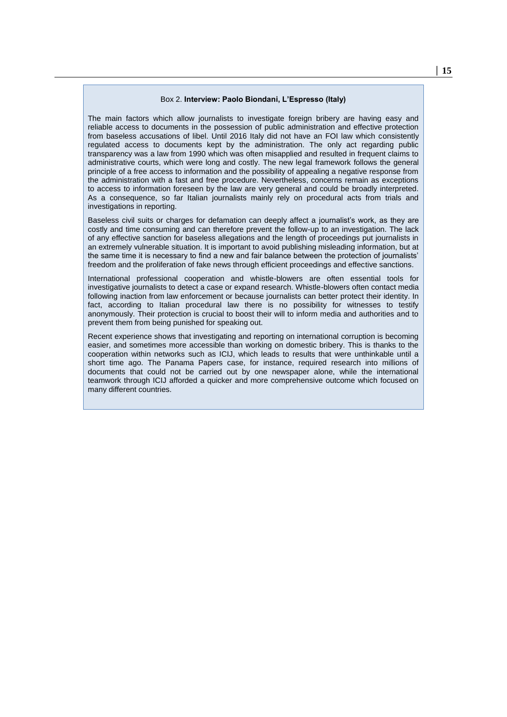#### Box 2. **Interview: Paolo Biondani, L'Espresso (Italy)**

The main factors which allow journalists to investigate foreign bribery are having easy and reliable access to documents in the possession of public administration and effective protection from baseless accusations of libel. Until 2016 Italy did not have an FOI law which consistently regulated access to documents kept by the administration. The only act regarding public transparency was a law from 1990 which was often misapplied and resulted in frequent claims to administrative courts, which were long and costly. The new legal framework follows the general principle of a free access to information and the possibility of appealing a negative response from the administration with a fast and free procedure. Nevertheless, concerns remain as exceptions to access to information foreseen by the law are very general and could be broadly interpreted. As a consequence, so far Italian journalists mainly rely on procedural acts from trials and investigations in reporting.

Baseless civil suits or charges for defamation can deeply affect a journalist's work, as they are costly and time consuming and can therefore prevent the follow-up to an investigation. The lack of any effective sanction for baseless allegations and the length of proceedings put journalists in an extremely vulnerable situation. It is important to avoid publishing misleading information, but at the same time it is necessary to find a new and fair balance between the protection of journalists' freedom and the proliferation of fake news through efficient proceedings and effective sanctions.

International professional cooperation and whistle-blowers are often essential tools for investigative journalists to detect a case or expand research. Whistle-blowers often contact media following inaction from law enforcement or because journalists can better protect their identity. In fact, according to Italian procedural law there is no possibility for witnesses to testify anonymously. Their protection is crucial to boost their will to inform media and authorities and to prevent them from being punished for speaking out.

Recent experience shows that investigating and reporting on international corruption is becoming easier, and sometimes more accessible than working on domestic bribery. This is thanks to the cooperation within networks such as ICIJ, which leads to results that were unthinkable until a short time ago. The Panama Papers case, for instance, required research into millions of documents that could not be carried out by one newspaper alone, while the international teamwork through ICIJ afforded a quicker and more comprehensive outcome which focused on many different countries.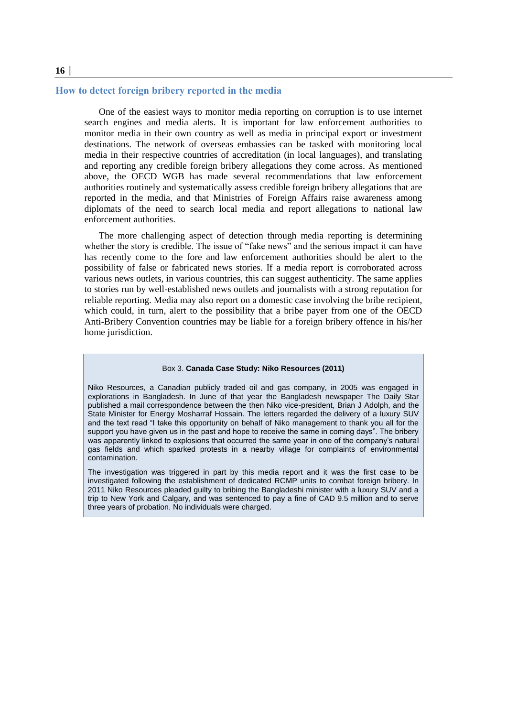#### **How to detect foreign bribery reported in the media**

One of the easiest ways to monitor media reporting on corruption is to use internet search engines and media alerts. It is important for law enforcement authorities to monitor media in their own country as well as media in principal export or investment destinations. The network of overseas embassies can be tasked with monitoring local media in their respective countries of accreditation (in local languages), and translating and reporting any credible foreign bribery allegations they come across. As mentioned above, the OECD WGB has made several recommendations that law enforcement authorities routinely and systematically assess credible foreign bribery allegations that are reported in the media, and that Ministries of Foreign Affairs raise awareness among diplomats of the need to search local media and report allegations to national law enforcement authorities.

The more challenging aspect of detection through media reporting is determining whether the story is credible. The issue of "fake news" and the serious impact it can have has recently come to the fore and law enforcement authorities should be alert to the possibility of false or fabricated news stories. If a media report is corroborated across various news outlets, in various countries, this can suggest authenticity. The same applies to stories run by well-established news outlets and journalists with a strong reputation for reliable reporting. Media may also report on a domestic case involving the bribe recipient, which could, in turn, alert to the possibility that a bribe payer from one of the OECD Anti-Bribery Convention countries may be liable for a foreign bribery offence in his/her home jurisdiction.

#### Box 3. **Canada Case Study: Niko Resources (2011)**

Niko Resources, a Canadian publicly traded oil and gas company, in 2005 was engaged in explorations in Bangladesh. In June of that year the Bangladesh newspaper The Daily Star published a mail correspondence between the then Niko vice-president, Brian J Adolph, and the State Minister for Energy Mosharraf Hossain. The letters regarded the delivery of a luxury SUV and the text read "I take this opportunity on behalf of Niko management to thank you all for the support you have given us in the past and hope to receive the same in coming days". The bribery was apparently linked to explosions that occurred the same year in one of the company's natural gas fields and which sparked protests in a nearby village for complaints of environmental contamination.

The investigation was triggered in part by this media report and it was the first case to be investigated following the establishment of dedicated RCMP units to combat foreign bribery. In 2011 Niko Resources pleaded guilty to bribing the Bangladeshi minister with a luxury SUV and a trip to New York and Calgary, and was sentenced to pay a fine of CAD 9.5 million and to serve three years of probation. No individuals were charged.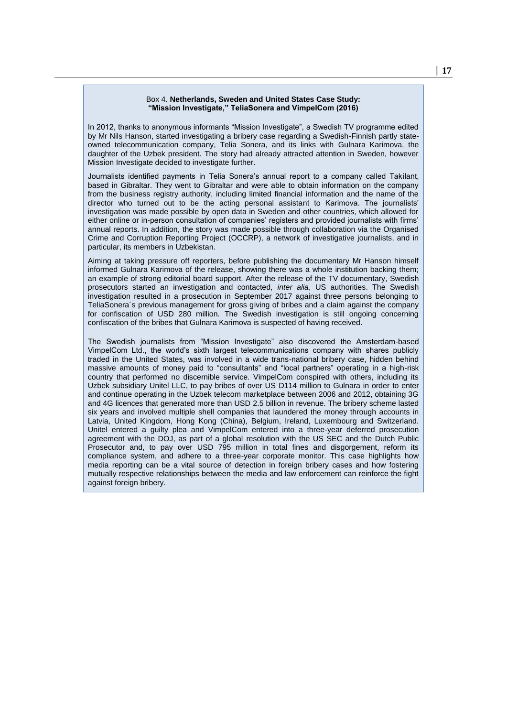#### Box 4. **Netherlands, Sweden and United States Case Study: "Mission Investigate," TeliaSonera and VimpelCom (2016)**

In 2012, thanks to anonymous informants "Mission Investigate", a Swedish TV programme edited by Mr Nils Hanson, started investigating a bribery case regarding a Swedish-Finnish partly stateowned telecommunication company, Telia Sonera, and its links with Gulnara Karimova, the daughter of the Uzbek president. The story had already attracted attention in Sweden, however Mission Investigate decided to investigate further.

Journalists identified payments in Telia Sonera's annual report to a company called Takilant, based in Gibraltar. They went to Gibraltar and were able to obtain information on the company from the business registry authority, including limited financial information and the name of the director who turned out to be the acting personal assistant to Karimova. The journalists' investigation was made possible by open data in Sweden and other countries, which allowed for either online or in-person consultation of companies' registers and provided journalists with firms' annual reports. In addition, the story was made possible through collaboration via the Organised Crime and Corruption Reporting Project (OCCRP), a network of investigative journalists, and in particular, its members in Uzbekistan.

Aiming at taking pressure off reporters, before publishing the documentary Mr Hanson himself informed Gulnara Karimova of the release, showing there was a whole institution backing them; an example of strong editorial board support. After the release of the TV documentary, Swedish prosecutors started an investigation and contacted, *inter alia*, US authorities. The Swedish investigation resulted in a prosecution in September 2017 against three persons belonging to TeliaSonera´s previous management for gross giving of bribes and a claim against the company for confiscation of USD 280 million. The Swedish investigation is still ongoing concerning confiscation of the bribes that Gulnara Karimova is suspected of having received.

The Swedish journalists from "Mission Investigate" also discovered the Amsterdam-based VimpelCom Ltd., the world's sixth largest telecommunications company with shares publicly traded in the United States, was involved in a wide trans-national bribery case, hidden behind massive amounts of money paid to "consultants" and "local partners" operating in a high-risk country that performed no discernible service. VimpelCom conspired with others, including its Uzbek subsidiary Unitel LLC, to pay bribes of over US D114 million to Gulnara in order to enter and continue operating in the Uzbek telecom marketplace between 2006 and 2012, obtaining 3G and 4G licences that generated more than USD 2.5 billion in revenue. The bribery scheme lasted six years and involved multiple shell companies that laundered the money through accounts in Latvia, United Kingdom, Hong Kong (China), Belgium, Ireland, Luxembourg and Switzerland. Unitel entered a guilty plea and VimpelCom entered into a three-year deferred prosecution agreement with the DOJ, as part of a global resolution with the US SEC and the Dutch Public Prosecutor and, to pay over USD 795 million in total fines and disgorgement, reform its compliance system, and adhere to a three-year corporate monitor. This case highlights how media reporting can be a vital source of detection in foreign bribery cases and how fostering mutually respective relationships between the media and law enforcement can reinforce the fight against foreign bribery.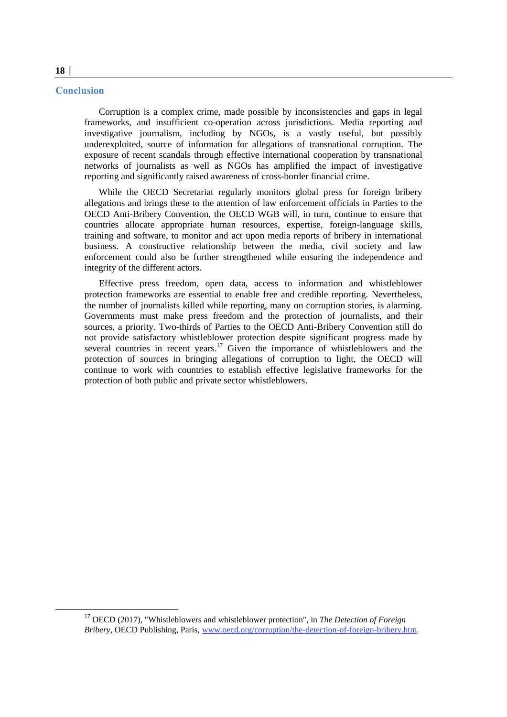#### **Conclusion**

Corruption is a complex crime, made possible by inconsistencies and gaps in legal frameworks, and insufficient co-operation across jurisdictions. Media reporting and investigative journalism, including by NGOs, is a vastly useful, but possibly underexploited, source of information for allegations of transnational corruption. The exposure of recent scandals through effective international cooperation by transnational networks of journalists as well as NGOs has amplified the impact of investigative reporting and significantly raised awareness of cross-border financial crime.

While the OECD Secretariat regularly monitors global press for foreign bribery allegations and brings these to the attention of law enforcement officials in Parties to the OECD Anti-Bribery Convention, the OECD WGB will, in turn, continue to ensure that countries allocate appropriate human resources, expertise, foreign-language skills, training and software, to monitor and act upon media reports of bribery in international business. A constructive relationship between the media, civil society and law enforcement could also be further strengthened while ensuring the independence and integrity of the different actors.

Effective press freedom, open data, access to information and whistleblower protection frameworks are essential to enable free and credible reporting. Nevertheless, the number of journalists killed while reporting, many on corruption stories, is alarming. Governments must make press freedom and the protection of journalists, and their sources, a priority. Two-thirds of Parties to the OECD Anti-Bribery Convention still do not provide satisfactory whistleblower protection despite significant progress made by several countries in recent years.<sup>17</sup> Given the importance of whistleblowers and the protection of sources in bringing allegations of corruption to light, the OECD will continue to work with countries to establish effective legislative frameworks for the protection of both public and private sector whistleblowers.

 $\overline{a}$ 

<sup>17</sup> OECD (2017), "Whistleblowers and whistleblower protection", in *The Detection of Foreign Bribery*, OECD Publishing, Paris, [www.oecd.org/corruption/the-detection-of-foreign-bribery.htm.](http://www.oecd.org/corruption/the-detection-of-foreign-bribery.htm)